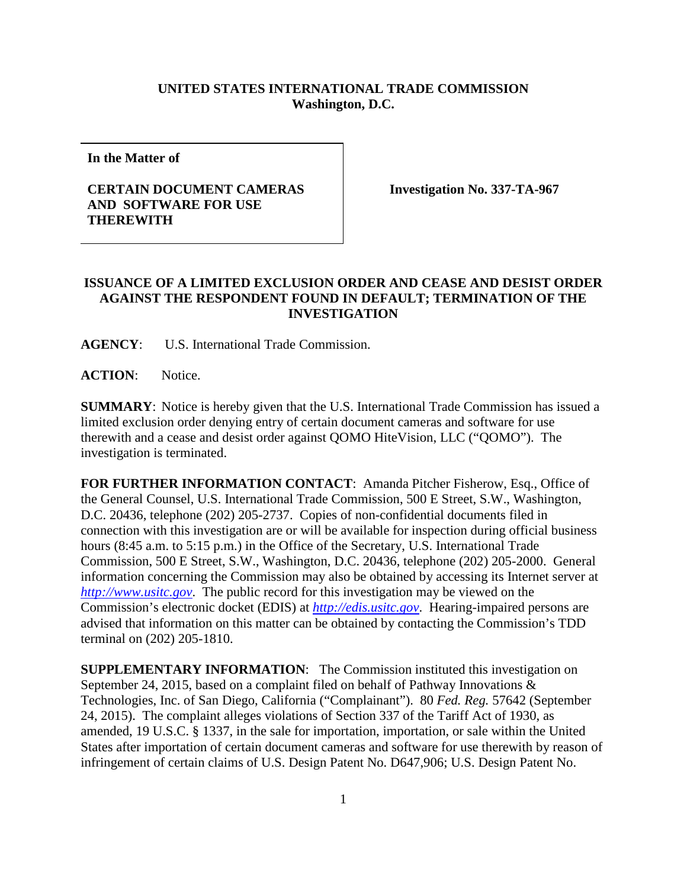## **UNITED STATES INTERNATIONAL TRADE COMMISSION Washington, D.C.**

**In the Matter of**

## **CERTAIN DOCUMENT CAMERAS AND SOFTWARE FOR USE THEREWITH**

**Investigation No. 337-TA-967**

## **ISSUANCE OF A LIMITED EXCLUSION ORDER AND CEASE AND DESIST ORDER AGAINST THE RESPONDENT FOUND IN DEFAULT; TERMINATION OF THE INVESTIGATION**

**AGENCY**: U.S. International Trade Commission.

**ACTION**: Notice.

**SUMMARY**: Notice is hereby given that the U.S. International Trade Commission has issued a limited exclusion order denying entry of certain document cameras and software for use therewith and a cease and desist order against QOMO HiteVision, LLC ("QOMO"). The investigation is terminated.

**FOR FURTHER INFORMATION CONTACT:** Amanda Pitcher Fisherow, Esq., Office of the General Counsel, U.S. International Trade Commission, 500 E Street, S.W., Washington, D.C. 20436, telephone (202) 205-2737. Copies of non-confidential documents filed in connection with this investigation are or will be available for inspection during official business hours (8:45 a.m. to 5:15 p.m.) in the Office of the Secretary, U.S. International Trade Commission, 500 E Street, S.W., Washington, D.C. 20436, telephone (202) 205-2000. General information concerning the Commission may also be obtained by accessing its Internet server at *[http://www.usitc.gov](http://www.usitc.gov/)*. The public record for this investigation may be viewed on the Commission's electronic docket (EDIS) at *[http://edis.usitc.gov](http://edis.usitc.gov/)*. Hearing-impaired persons are advised that information on this matter can be obtained by contacting the Commission's TDD terminal on (202) 205-1810.

**SUPPLEMENTARY INFORMATION**: The Commission instituted this investigation on September 24, 2015, based on a complaint filed on behalf of Pathway Innovations & Technologies, Inc. of San Diego, California ("Complainant"). 80 *Fed. Reg.* 57642 (September 24, 2015). The complaint alleges violations of Section 337 of the Tariff Act of 1930, as amended, 19 U.S.C. § 1337, in the sale for importation, importation, or sale within the United States after importation of certain document cameras and software for use therewith by reason of infringement of certain claims of U.S. Design Patent No. D647,906; U.S. Design Patent No.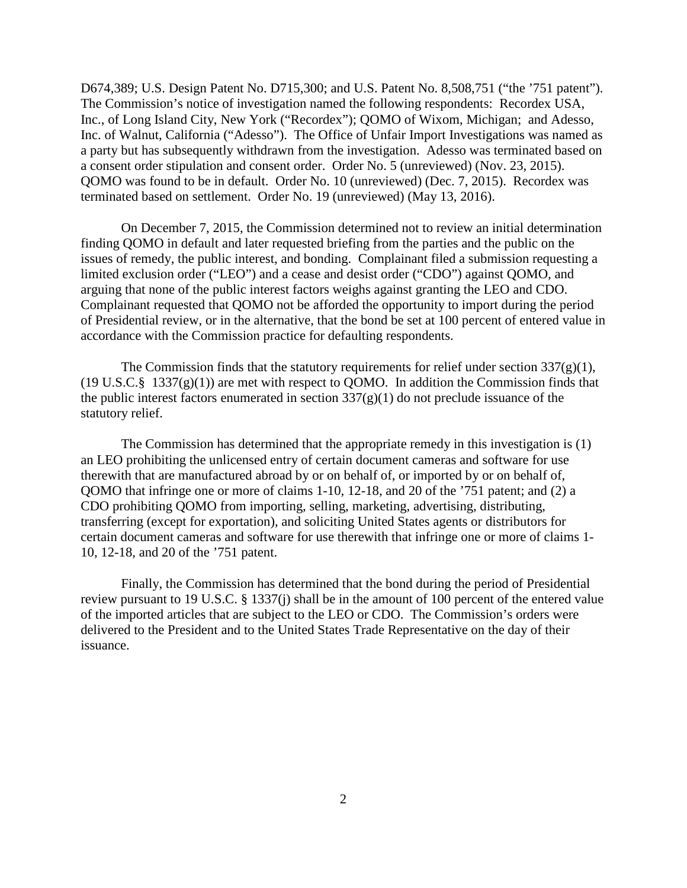D674,389; U.S. Design Patent No. D715,300; and U.S. Patent No. 8,508,751 ("the '751 patent"). The Commission's notice of investigation named the following respondents: Recordex USA, Inc., of Long Island City, New York ("Recordex"); QOMO of Wixom, Michigan; and Adesso, Inc. of Walnut, California ("Adesso"). The Office of Unfair Import Investigations was named as a party but has subsequently withdrawn from the investigation. Adesso was terminated based on a consent order stipulation and consent order. Order No. 5 (unreviewed) (Nov. 23, 2015). QOMO was found to be in default. Order No. 10 (unreviewed) (Dec. 7, 2015). Recordex was terminated based on settlement. Order No. 19 (unreviewed) (May 13, 2016).

On December 7, 2015, the Commission determined not to review an initial determination finding QOMO in default and later requested briefing from the parties and the public on the issues of remedy, the public interest, and bonding. Complainant filed a submission requesting a limited exclusion order ("LEO") and a cease and desist order ("CDO") against QOMO, and arguing that none of the public interest factors weighs against granting the LEO and CDO. Complainant requested that QOMO not be afforded the opportunity to import during the period of Presidential review, or in the alternative, that the bond be set at 100 percent of entered value in accordance with the Commission practice for defaulting respondents.

The Commission finds that the statutory requirements for relief under section  $337(g)(1)$ ,  $(19 \text{ U.S.C.} \S 1337(g)(1))$  are met with respect to QOMO. In addition the Commission finds that the public interest factors enumerated in section  $337(g)(1)$  do not preclude issuance of the statutory relief.

The Commission has determined that the appropriate remedy in this investigation is (1) an LEO prohibiting the unlicensed entry of certain document cameras and software for use therewith that are manufactured abroad by or on behalf of, or imported by or on behalf of, QOMO that infringe one or more of claims 1-10, 12-18, and 20 of the '751 patent; and (2) a CDO prohibiting QOMO from importing, selling, marketing, advertising, distributing, transferring (except for exportation), and soliciting United States agents or distributors for certain document cameras and software for use therewith that infringe one or more of claims 1- 10, 12-18, and 20 of the '751 patent.

Finally, the Commission has determined that the bond during the period of Presidential review pursuant to 19 U.S.C. § 1337(j) shall be in the amount of 100 percent of the entered value of the imported articles that are subject to the LEO or CDO. The Commission's orders were delivered to the President and to the United States Trade Representative on the day of their issuance.